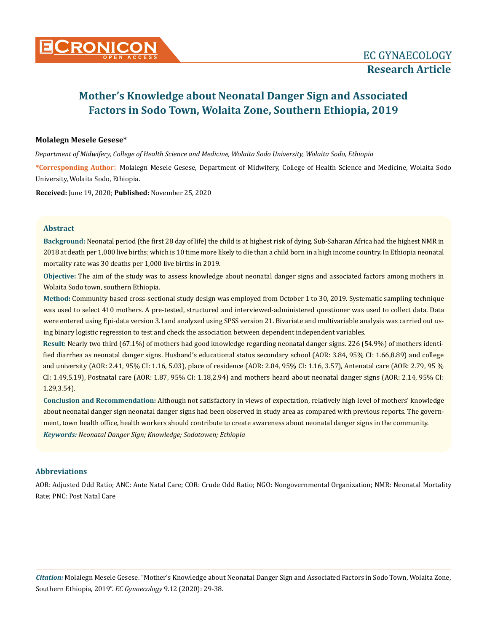

# **Mother's Knowledge about Neonatal Danger Sign and Associated Factors in Sodo Town, Wolaita Zone, Southern Ethiopia, 2019**

### **Molalegn Mesele Gesese\***

*Department of Midwifery, College of Health Science and Medicine, Wolaita Sodo University, Wolaita Sodo, Ethiopia* 

**\*Corresponding Author**: Molalegn Mesele Gesese, Department of Midwifery, College of Health Science and Medicine, Wolaita Sodo University, Wolaita Sodo, Ethiopia.

**Received:** June 19, 2020; **Published:** November 25, 2020

### **Abstract**

**Background:** Neonatal period (the first 28 day of life) the child is at highest risk of dying. Sub-Saharan Africa had the highest NMR in 2018 at death per 1,000 live births; which is 10 time more likely to die than a child born in a high income country. In Ethiopia neonatal mortality rate was 30 deaths per 1,000 live births in 2019.

**Objective:** The aim of the study was to assess knowledge about neonatal danger signs and associated factors among mothers in Wolaita Sodo town, southern Ethiopia.

**Method:** Community based cross-sectional study design was employed from October 1 to 30, 2019. Systematic sampling technique was used to select 410 mothers. A pre-tested, structured and interviewed-administered questioner was used to collect data. Data were entered using Epi-data version 3.1and analyzed using SPSS version 21. Bivariate and multivariable analysis was carried out using binary logistic regression to test and check the association between dependent independent variables.

**Result:** Nearly two third (67.1%) of mothers had good knowledge regarding neonatal danger signs. 226 (54.9%) of mothers identified diarrhea as neonatal danger signs. Husband's educational status secondary school (AOR: 3.84, 95% CI: 1.66,8.89) and college and university (AOR: 2.41, 95% CI: 1.16, 5.03), place of residence (AOR: 2.04, 95% CI: 1.16, 3.57), Antenatal care (AOR: 2.79, 95 % CI: 1.49,5.19), Postnatal care (AOR: 1.87, 95% CI: 1.18,2.94) and mothers heard about neonatal danger signs (AOR: 2.14, 95% CI: 1.29,3.54).

*Keywords: Neonatal Danger Sign; Knowledge; Sodotowen; Ethiopia* **Conclusion and Recommendation:** Although not satisfactory in views of expectation, relatively high level of mothers' knowledge about neonatal danger sign neonatal danger signs had been observed in study area as compared with previous reports. The government, town health office, health workers should contribute to create awareness about neonatal danger signs in the community.

### **Abbreviations**

AOR: Adjusted Odd Ratio; ANC: Ante Natal Care; COR: Crude Odd Ratio; NGO: Nongovernmental Organization; NMR: Neonatal Mortality Rate; PNC: Post Natal Care

*Citation:* Molalegn Mesele Gesese. "Mother's Knowledge about Neonatal Danger Sign and Associated Factors in Sodo Town, Wolaita Zone, Southern Ethiopia, 2019". *EC Gynaecology* 9.12 (2020): 29-38.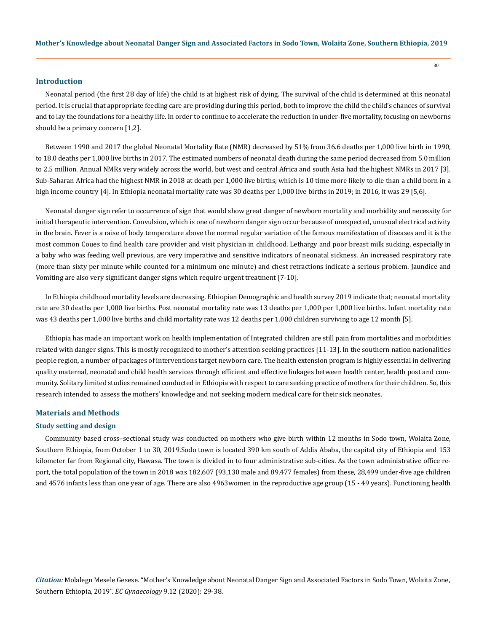#### **Introduction**

Neonatal period (the first 28 day of life) the child is at highest risk of dying. The survival of the child is determined at this neonatal period. It is crucial that appropriate feeding care are providing during this period, both to improve the child the child's chances of survival and to lay the foundations for a healthy life. In order to continue to accelerate the reduction in under-five mortality, focusing on newborns should be a primary concern [1,2].

Between 1990 and 2017 the global Neonatal Mortality Rate (NMR) decreased by 51% from 36.6 deaths per 1,000 live birth in 1990, to 18.0 deaths per 1,000 live births in 2017. The estimated numbers of neonatal death during the same period decreased from 5.0 million to 2.5 million. Annual NMRs very widely across the world, but west and central Africa and south Asia had the highest NMRs in 2017 [3]. Sub-Saharan Africa had the highest NMR in 2018 at death per 1,000 live births; which is 10 time more likely to die than a child born in a high income country [4]. In Ethiopia neonatal mortality rate was 30 deaths per 1,000 live births in 2019; in 2016, it was 29 [5,6].

Neonatal danger sign refer to occurrence of sign that would show great danger of newborn mortality and morbidity and necessity for initial therapeutic intervention. Convulsion, which is one of newborn danger sign occur because of unexpected, unusual electrical activity in the brain. Fever is a raise of body temperature above the normal regular variation of the famous manifestation of diseases and it is the most common Coues to find health care provider and visit physician in childhood. Lethargy and poor breast milk sucking, especially in a baby who was feeding well previous, are very imperative and sensitive indicators of neonatal sickness. An increased respiratory rate (more than sixty per minute while counted for a minimum one minute) and chest retractions indicate a serious problem. Jaundice and Vomiting are also very significant danger signs which require urgent treatment [7-10].

In Ethiopia childhood mortality levels are decreasing. Ethiopian Demographic and health survey 2019 indicate that; neonatal mortality rate are 30 deaths per 1,000 live births. Post neonatal mortality rate was 13 deaths per 1,000 per 1,000 live births. Infant mortality rate was 43 deaths per 1,000 live births and child mortality rate was 12 deaths per 1.000 children surviving to age 12 month [5].

Ethiopia has made an important work on health implementation of Integrated children are still pain from mortalities and morbidities related with danger signs. This is mostly recognized to mother's attention seeking practices [11-13]. In the southern nation nationalities people region, a number of packages of interventions target newborn care. The health extension program is highly essential in delivering quality maternal, neonatal and child health services through efficient and effective linkages between health center, health post and community. Solitary limited studies remained conducted in Ethiopia with respect to care seeking practice of mothers for their children. So, this research intended to assess the mothers' knowledge and not seeking modern medical care for their sick neonates.

### **Materials and Methods**

#### **Study setting and design**

Community based cross–sectional study was conducted on mothers who give birth within 12 months in Sodo town, Wolaita Zone, Southern Ethiopia, from October 1 to 30, 2019.Sodo town is located 390 km south of Addis Ababa, the capital city of Ethiopia and 153 kilometer far from Regional city, Hawasa. The town is divided in to four administrative sub-cities. As the town administrative office report, the total population of the town in 2018 was 182,607 (93,130 male and 89,477 females) from these, 28,499 under-five age children and 4576 infants less than one year of age. There are also 4963women in the reproductive age group (15 - 49 years). Functioning health

*Citation:* Molalegn Mesele Gesese. "Mother's Knowledge about Neonatal Danger Sign and Associated Factors in Sodo Town, Wolaita Zone, Southern Ethiopia, 2019". *EC Gynaecology* 9.12 (2020): 29-38.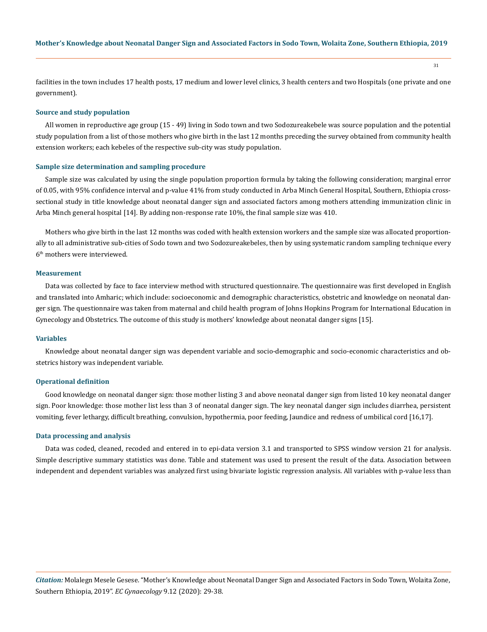facilities in the town includes 17 health posts, 17 medium and lower level clinics, 3 health centers and two Hospitals (one private and one government).

#### **Source and study population**

All women in reproductive age group (15 - 49) living in Sodo town and two Sodozureakebele was source population and the potential study population from a list of those mothers who give birth in the last 12 months preceding the survey obtained from community health extension workers; each kebeles of the respective sub-city was study population.

#### **Sample size determination and sampling procedure**

Sample size was calculated by using the single population proportion formula by taking the following consideration; marginal error of 0.05, with 95% confidence interval and p-value 41% from study conducted in Arba Minch General Hospital, Southern, Ethiopia crosssectional study in title knowledge about neonatal danger sign and associated factors among mothers attending immunization clinic in Arba Minch general hospital [14]. By adding non-response rate 10%, the final sample size was 410.

Mothers who give birth in the last 12 months was coded with health extension workers and the sample size was allocated proportionally to all administrative sub-cities of Sodo town and two Sodozureakebeles, then by using systematic random sampling technique every 6th mothers were interviewed.

#### **Measurement**

Data was collected by face to face interview method with structured questionnaire. The questionnaire was first developed in English and translated into Amharic; which include: socioeconomic and demographic characteristics, obstetric and knowledge on neonatal danger sign. The questionnaire was taken from maternal and child health program of Johns Hopkins Program for International Education in Gynecology and Obstetrics. The outcome of this study is mothers' knowledge about neonatal danger signs [15].

#### **Variables**

Knowledge about neonatal danger sign was dependent variable and socio-demographic and socio-economic characteristics and obstetrics history was independent variable.

#### **Operational definition**

Good knowledge on neonatal danger sign: those mother listing 3 and above neonatal danger sign from listed 10 key neonatal danger sign. Poor knowledge: those mother list less than 3 of neonatal danger sign. The key neonatal danger sign includes diarrhea, persistent vomiting, fever lethargy, difficult breathing, convulsion, hypothermia, poor feeding, Jaundice and redness of umbilical cord [16,17].

#### **Data processing and analysis**

Data was coded, cleaned, recoded and entered in to epi-data version 3.1 and transported to SPSS window version 21 for analysis. Simple descriptive summary statistics was done. Table and statement was used to present the result of the data. Association between independent and dependent variables was analyzed first using bivariate logistic regression analysis. All variables with p-value less than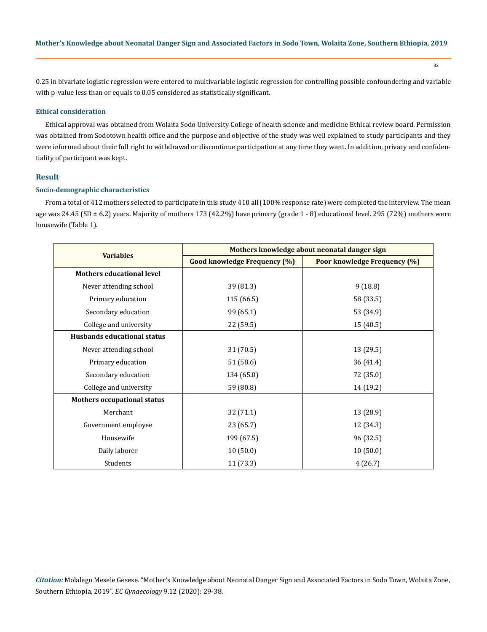32

0.25 in bivariate logistic regression were entered to multivariable logistic regression for controlling possible confoundering and variable with p-value less than or equals to 0.05 considered as statistically significant.

#### **Ethical consideration**

Ethical approval was obtained from Wolaita Sodo University College of health science and medicine Ethical review board. Permission was obtained from Sodotown health office and the purpose and objective of the study was well explained to study participants and they were informed about their full right to withdrawal or discontinue participation at any time they want. In addition, privacy and confidentiality of participant was kept.

### **Result**

### **Socio-demographic characteristics**

From a total of 412 mothers selected to participate in this study 410 all (100% response rate) were completed the interview. The mean age was 24.45 (SD ± 6.2) years. Majority of mothers 173 (42.2%) have primary (grade 1 - 8) educational level. 295 (72%) mothers were housewife (Table 1).

|                                    | Mothers knowledge about neonatal danger sign |                                     |  |
|------------------------------------|----------------------------------------------|-------------------------------------|--|
| <b>Variables</b>                   | <b>Good knowledge Frequency (%)</b>          | <b>Poor knowledge Frequency (%)</b> |  |
| <b>Mothers educational level</b>   |                                              |                                     |  |
| Never attending school             | 39 (81.3)                                    | 9(18.8)                             |  |
| Primary education                  | 115 (66.5)                                   | 58 (33.5)                           |  |
| Secondary education                | 99 (65.1)                                    | 53 (34.9)                           |  |
| College and university             | 22 (59.5)                                    | 15 (40.5)                           |  |
| <b>Husbands educational status</b> |                                              |                                     |  |
| Never attending school             | 31 (70.5)                                    | 13 (29.5)                           |  |
| Primary education                  | 51 (58.6)                                    | 36 (41.4)                           |  |
| Secondary education                | 134 (65.0)                                   | 72 (35.0)                           |  |
| College and university             | 59 (80.8)                                    | 14 (19.2)                           |  |
| <b>Mothers occupational status</b> |                                              |                                     |  |
| Merchant                           | 32 (71.1)                                    | 13 (28.9)                           |  |
| Government employee                | 23(65.7)                                     | 12 (34.3)                           |  |
| Housewife                          | 199 (67.5)                                   | 96 (32.5)                           |  |
| Daily laborer                      | 10(50.0)                                     | 10(50.0)                            |  |
| Students                           | 11(73.3)                                     | 4(26.7)                             |  |

*Citation:* Molalegn Mesele Gesese. "Mother's Knowledge about Neonatal Danger Sign and Associated Factors in Sodo Town, Wolaita Zone, Southern Ethiopia, 2019". *EC Gynaecology* 9.12 (2020): 29-38.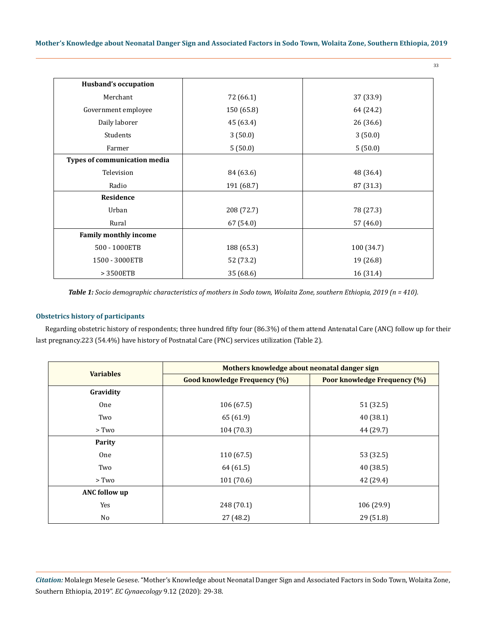| <b>Husband's occupation</b>  |                          |           |  |
|------------------------------|--------------------------|-----------|--|
| Merchant                     | 37 (33.9)<br>72 (66.1)   |           |  |
| Government employee          | 150 (65.8)               | 64 (24.2) |  |
| Daily laborer                | 45 (63.4)                | 26 (36.6) |  |
| Students                     | 3(50.0)<br>3(50.0)       |           |  |
| Farmer                       | 5(50.0)<br>5(50.0)       |           |  |
| Types of communication media |                          |           |  |
| Television                   | 84 (63.6)                | 48 (36.4) |  |
| Radio                        | 191 (68.7)               | 87 (31.3) |  |
| Residence                    |                          |           |  |
| Urban                        | 208 (72.7)               | 78 (27.3) |  |
| Rural                        | 67 (54.0)                | 57 (46.0) |  |
| <b>Family monthly income</b> |                          |           |  |
| 500 - 1000ETB                | 188 (65.3)<br>100 (34.7) |           |  |
| 1500 - 3000ETB               | 19 (26.8)<br>52 (73.2)   |           |  |
| > 3500ETB                    | 35 (68.6)                | 16 (31.4) |  |

*Table 1: Socio demographic characteristics of mothers in Sodo town, Wolaita Zone, southern Ethiopia, 2019 (n = 410).*

### **Obstetrics history of participants**

Regarding obstetric history of respondents; three hundred fifty four (86.3%) of them attend Antenatal Care (ANC) follow up for their last pregnancy.223 (54.4%) have history of Postnatal Care (PNC) services utilization (Table 2).

|                      | Mothers knowledge about neonatal danger sign |                                     |  |
|----------------------|----------------------------------------------|-------------------------------------|--|
| <b>Variables</b>     | <b>Good knowledge Frequency (%)</b>          | <b>Poor knowledge Frequency (%)</b> |  |
| Gravidity            |                                              |                                     |  |
| One                  | 106(67.5)                                    | 51 (32.5)                           |  |
| Two                  | 65 (61.9)                                    | 40(38.1)                            |  |
| > Two                | 104(70.3)                                    | 44 (29.7)                           |  |
| Parity               |                                              |                                     |  |
| One                  | 110(67.5)                                    | 53 (32.5)                           |  |
| Two                  | 64 (61.5)                                    | 40 (38.5)                           |  |
| $>$ Two              | 101(70.6)                                    | 42 (29.4)                           |  |
| <b>ANC</b> follow up |                                              |                                     |  |
| Yes                  | 248 (70.1)                                   | 106 (29.9)                          |  |
| No                   | 27 (48.2)                                    | 29 (51.8)                           |  |

*Citation:* Molalegn Mesele Gesese. "Mother's Knowledge about Neonatal Danger Sign and Associated Factors in Sodo Town, Wolaita Zone, Southern Ethiopia, 2019". *EC Gynaecology* 9.12 (2020): 29-38.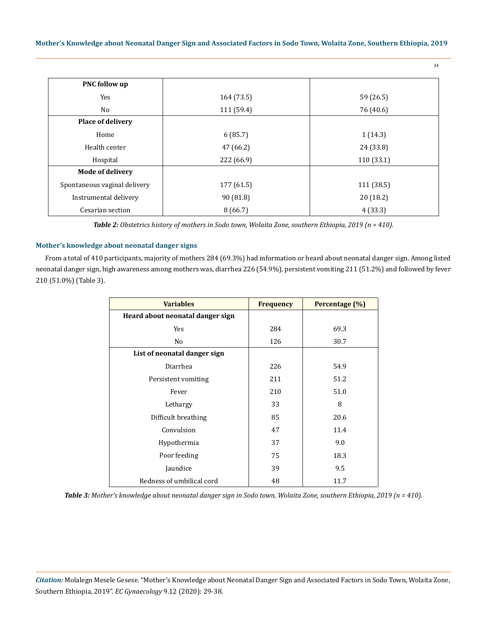**Mother's Knowledge about Neonatal Danger Sign and Associated Factors in Sodo Town, Wolaita Zone, Southern Ethiopia, 2019**

34

| <b>PNC follow up</b>         |                         |            |  |  |
|------------------------------|-------------------------|------------|--|--|
| <b>Yes</b>                   | 59 (26.5)<br>164 (73.5) |            |  |  |
| No                           | 111 (59.4)              | 76 (40.6)  |  |  |
| <b>Place of delivery</b>     |                         |            |  |  |
| Home                         | 6(85.7)                 | 1(14.3)    |  |  |
| Health center                | 47 (66.2)               | 24 (33.8)  |  |  |
| Hospital                     | 222 (66.9)              | 110(33.1)  |  |  |
| <b>Mode of delivery</b>      |                         |            |  |  |
| Spontaneous vaginal delivery | 177 (61.5)              | 111 (38.5) |  |  |
| Instrumental delivery        | 90 (81.8)               | 20 (18.2)  |  |  |
| Cesarian section             | 8(66.7)                 | 4(33.3)    |  |  |

*Table 2: Obstetrics history of mothers in Sodo town, Wolaita Zone, southern Ethiopia, 2019 (n = 410).* 

### **Mother's knowledge about neonatal danger signs**

From a total of 410 participants, majority of mothers 284 (69.3%) had information or heard about neonatal danger sign. Among listed neonatal danger sign, high awareness among mothers was, diarrhea 226 (54.9%), persistent vomiting 211 (51.2%) and followed by fever 210 (51.0%) (Table 3).

| <b>Variables</b>                 | <b>Frequency</b> | Percentage (%) |
|----------------------------------|------------------|----------------|
| Heard about neonatal danger sign |                  |                |
| Yes                              | 284              | 69.3           |
| No                               | 126              | 30.7           |
| List of neonatal danger sign     |                  |                |
| Diarrhea                         | 226              | 54.9           |
| Persistent vomiting              | 211              | 51.2           |
| Fever                            | 210              | 51.0           |
| Lethargy                         | 33               | 8              |
| Difficult breathing              | 85               | 20.6           |
| Convulsion                       | 47               | 11.4           |
| Hypothermia                      | 37               | 9.0            |
| Poor feeding                     | 75               | 18.3           |
| Jaundice                         | 39               | 9.5            |
| Redness of umbilical cord        | 48               | 11.7           |

*Table 3: Mother's knowledge about neonatal danger sign in Sodo town, Wolaita Zone, southern Ethiopia, 2019 (n = 410).*

*Citation:* Molalegn Mesele Gesese. "Mother's Knowledge about Neonatal Danger Sign and Associated Factors in Sodo Town, Wolaita Zone, Southern Ethiopia, 2019". *EC Gynaecology* 9.12 (2020): 29-38.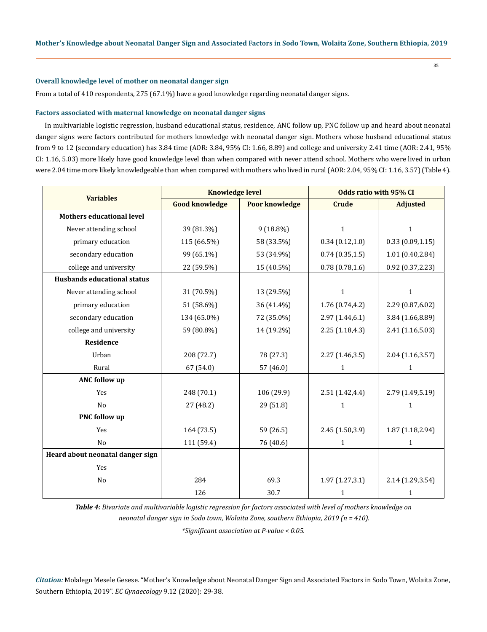#### **Overall knowledge level of mother on neonatal danger sign**

From a total of 410 respondents, 275 (67.1%) have a good knowledge regarding neonatal danger signs.

#### **Factors associated with maternal knowledge on neonatal danger signs**

In multivariable logistic regression, husband educational status, residence, ANC follow up, PNC follow up and heard about neonatal danger signs were factors contributed for mothers knowledge with neonatal danger sign. Mothers whose husband educational status from 9 to 12 (secondary education) has 3.84 time (AOR: 3.84, 95% CI: 1.66, 8.89) and college and university 2.41 time (AOR: 2.41, 95% CI: 1.16, 5.03) more likely have good knowledge level than when compared with never attend school. Mothers who were lived in urban were 2.04 time more likely knowledgeable than when compared with mothers who lived in rural (AOR: 2.04, 95% CI: 1.16, 3.57) (Table 4).

|                                    | <b>Knowledge level</b> |                       | <b>Odds ratio with 95% CI</b> |                   |
|------------------------------------|------------------------|-----------------------|-------------------------------|-------------------|
| <b>Variables</b>                   | <b>Good knowledge</b>  | <b>Poor knowledge</b> | <b>Crude</b>                  | <b>Adjusted</b>   |
| <b>Mothers educational level</b>   |                        |                       |                               |                   |
| Never attending school             | 39 (81.3%)             | 9 (18.8%)             | $\mathbf{1}$                  | $\mathbf{1}$      |
| primary education                  | 115 (66.5%)            | 58 (33.5%)            | 0.34(0.12,1.0)                | 0.33(0.09, 1.15)  |
| secondary education                | 99 (65.1%)             | 53 (34.9%)            | 0.74(0.35, 1.5)               | 1.01(0.40, 2.84)  |
| college and university             | 22 (59.5%)             | 15 (40.5%)            | 0.78(0.78, 1.6)               | 0.92(0.37, 2.23)  |
| <b>Husbands educational status</b> |                        |                       |                               |                   |
| Never attending school             | 31 (70.5%)             | 13 (29.5%)            | 1                             | 1                 |
| primary education                  | 51 (58.6%)             | 36 (41.4%)            | 1.76 (0.74,4.2)               | 2.29 (0.87,6.02)  |
| secondary education                | 134 (65.0%)            | 72 (35.0%)            | 2.97(1.44, 6.1)               | 3.84 (1.66,8.89)  |
| college and university             | 59 (80.8%)             | 14 (19.2%)            | 2.25(1.18, 4.3)               | 2.41 (1.16,5.03)  |
| Residence                          |                        |                       |                               |                   |
| Urban                              | 208 (72.7)             | 78 (27.3)             | 2.27(1.46, 3.5)               | 2.04 (1.16,3.57)  |
| Rural                              | 67 (54.0)              | 57 (46.0)             | $\mathbf{1}$                  | $\mathbf{1}$      |
| <b>ANC</b> follow up               |                        |                       |                               |                   |
| Yes                                | 248 (70.1)             | 106 (29.9)            | 2.51(1.42, 4.4)               | 2.79 (1.49,5.19)  |
| No                                 | 27 (48.2)              | 29 (51.8)             | 1                             | $\mathbf{1}$      |
| <b>PNC</b> follow up               |                        |                       |                               |                   |
| Yes                                | 164 (73.5)             | 59 (26.5)             | 2.45 (1.50,3.9)               | 1.87 (1.18,2.94)  |
| N <sub>0</sub>                     | 111 (59.4)             | 76 (40.6)             | $\mathbf{1}$                  | $\mathbf{1}$      |
| Heard about neonatal danger sign   |                        |                       |                               |                   |
| Yes                                |                        |                       |                               |                   |
| No                                 | 284                    | 69.3                  | 1.97(1.27, 3.1)               | 2.14 (1.29, 3.54) |
|                                    | 126                    | 30.7                  | $\mathbf{1}$                  | 1                 |

*Table 4: Bivariate and multivariable logistic regression for factors associated with level of mothers knowledge on neonatal danger sign in Sodo town, Wolaita Zone, southern Ethiopia, 2019 (n = 410).* 

*\*Significant association at P-value < 0.05.*

*Citation:* Molalegn Mesele Gesese. "Mother's Knowledge about Neonatal Danger Sign and Associated Factors in Sodo Town, Wolaita Zone, Southern Ethiopia, 2019". *EC Gynaecology* 9.12 (2020): 29-38.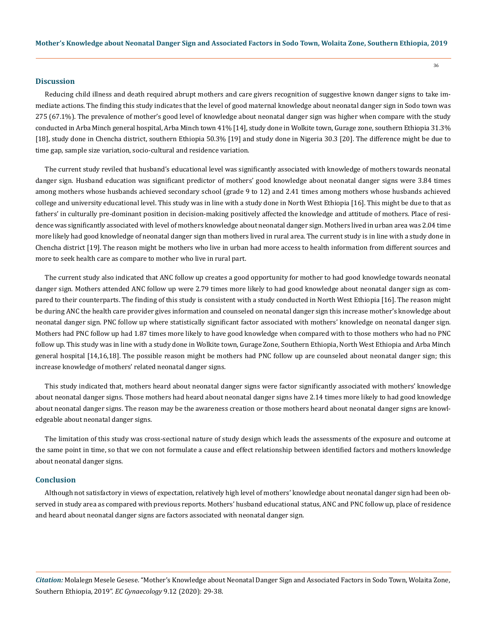#### **Discussion**

Reducing child illness and death required abrupt mothers and care givers recognition of suggestive known danger signs to take immediate actions. The finding this study indicates that the level of good maternal knowledge about neonatal danger sign in Sodo town was 275 (67.1%). The prevalence of mother's good level of knowledge about neonatal danger sign was higher when compare with the study conducted in Arba Minch general hospital, Arba Minch town 41% [14], study done in Wolkite town, Gurage zone, southern Ethiopia 31.3% [18], study done in Chencha district, southern Ethiopia 50.3% [19] and study done in Nigeria 30.3 [20]. The difference might be due to time gap, sample size variation, socio-cultural and residence variation.

The current study reviled that husband's educational level was significantly associated with knowledge of mothers towards neonatal danger sign. Husband education was significant predictor of mothers' good knowledge about neonatal danger signs were 3.84 times among mothers whose husbands achieved secondary school (grade 9 to 12) and 2.41 times among mothers whose husbands achieved college and university educational level. This study was in line with a study done in North West Ethiopia [16]. This might be due to that as fathers' in culturally pre-dominant position in decision-making positively affected the knowledge and attitude of mothers. Place of residence was significantly associated with level of mothers knowledge about neonatal danger sign. Mothers lived in urban area was 2.04 time more likely had good knowledge of neonatal danger sign than mothers lived in rural area. The current study is in line with a study done in Chencha district [19]. The reason might be mothers who live in urban had more access to health information from different sources and more to seek health care as compare to mother who live in rural part.

The current study also indicated that ANC follow up creates a good opportunity for mother to had good knowledge towards neonatal danger sign. Mothers attended ANC follow up were 2.79 times more likely to had good knowledge about neonatal danger sign as compared to their counterparts. The finding of this study is consistent with a study conducted in North West Ethiopia [16]. The reason might be during ANC the health care provider gives information and counseled on neonatal danger sign this increase mother's knowledge about neonatal danger sign. PNC follow up where statistically significant factor associated with mothers' knowledge on neonatal danger sign. Mothers had PNC follow up had 1.87 times more likely to have good knowledge when compared with to those mothers who had no PNC follow up. This study was in line with a study done in Wolkite town, Gurage Zone, Southern Ethiopia, North West Ethiopia and Arba Minch general hospital [14,16,18]. The possible reason might be mothers had PNC follow up are counseled about neonatal danger sign; this increase knowledge of mothers' related neonatal danger signs.

This study indicated that, mothers heard about neonatal danger signs were factor significantly associated with mothers' knowledge about neonatal danger signs. Those mothers had heard about neonatal danger signs have 2.14 times more likely to had good knowledge about neonatal danger signs. The reason may be the awareness creation or those mothers heard about neonatal danger signs are knowledgeable about neonatal danger signs.

The limitation of this study was cross-sectional nature of study design which leads the assessments of the exposure and outcome at the same point in time, so that we con not formulate a cause and effect relationship between identified factors and mothers knowledge about neonatal danger signs.

### **Conclusion**

Although not satisfactory in views of expectation, relatively high level of mothers' knowledge about neonatal danger sign had been observed in study area as compared with previous reports. Mothers' husband educational status, ANC and PNC follow up, place of residence and heard about neonatal danger signs are factors associated with neonatal danger sign.

*Citation:* Molalegn Mesele Gesese. "Mother's Knowledge about Neonatal Danger Sign and Associated Factors in Sodo Town, Wolaita Zone, Southern Ethiopia, 2019". *EC Gynaecology* 9.12 (2020): 29-38.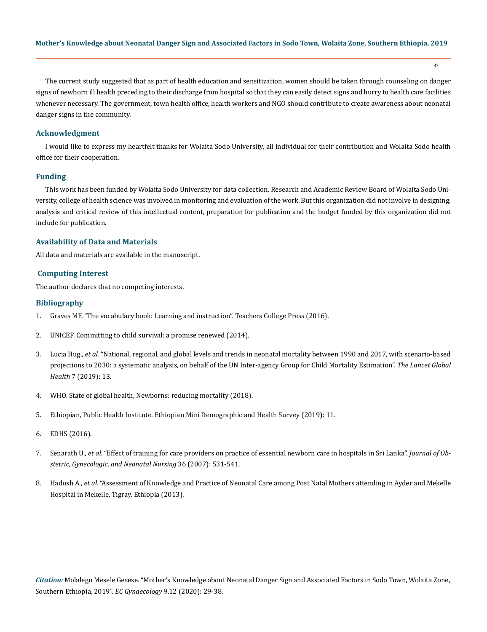37

The current study suggested that as part of health education and sensitization, women should be taken through counseling on danger signs of newborn ill health preceding to their discharge from hospital so that they can easily detect signs and hurry to health care facilities whenever necessary. The government, town health office, health workers and NGO should contribute to create awareness about neonatal danger signs in the community.

### **Acknowledgment**

I would like to express my heartfelt thanks for Wolaita Sodo University, all individual for their contribution and Wolaita Sodo health office for their cooperation.

### **Funding**

This work has been funded by Wolaita Sodo University for data collection. Research and Academic Review Board of Wolaita Sodo University, college of health science was involved in monitoring and evaluation of the work. But this organization did not involve in designing, analysis and critical review of this intellectual content, preparation for publication and the budget funded by this organization did not include for publication.

### **Availability of Data and Materials**

All data and materials are available in the manuscript.

### **Computing Interest**

The author declares that no competing interests.

### **Bibliography**

- 1. Graves MF. "The vocabulary book: Learning and instruction". Teachers College Press (2016).
- 2. [UNICEF. Committing to child survival: a promise renewed \(2014\).](https://www.unicef.org/publications/files/2013_APR_Progress_Report_Summary_EN_10_Sept_2013.pdf)
- 3. Lucia Hug., *et al.* ["National, regional, and global levels and trends in neonatal mortality between 1990 and 2017, with scenario-based](https://pubmed.ncbi.nlm.nih.gov/31097275/)  [projections to 2030: a systematic analysis, on behalf of the UN Inter-agency Group for Child Mortality Estimation".](https://pubmed.ncbi.nlm.nih.gov/31097275/) *The Lancet Global Health* [7 \(2019\): 13.](https://pubmed.ncbi.nlm.nih.gov/31097275/)
- 4. WHO. State of global health, Newborns: reducing mortality (2018).
- 5. Ethiopian, Public Health Institute. Ethiopian Mini Demographic and Health Survey (2019): 11.
- 6. EDHS (2016).
- 7. Senarath U., *et al.* ["Effect of training for care providers on practice of essential newborn care in hospitals in Sri Lanka".](https://pubmed.ncbi.nlm.nih.gov/17973696/) *Journal of Ob[stetric, Gynecologic, and Neonatal Nursing](https://pubmed.ncbi.nlm.nih.gov/17973696/)* 36 (2007): 531-541.
- 8. Hadush A., *et al.* ["Assessment of Knowledge and Practice of Neonatal Care among Post Natal Mothers attending in Ayder and Mekelle](https://www.researchgate.net/publication/313887626_Assessment_of_Knowledge_and_Practice_of_Neonatal_Care_among_Post_Natal_Mothers_attending_in_Ayder_and_Mekelle_Hospital_in_Mekelle_Tigray_Ethiopia_2013by_SMU_journal_ISSN_2349_-_1604_Volume_-_3_No_1_Ja)  [Hospital in Mekelle, Tigray, Ethiopia \(2013\).](https://www.researchgate.net/publication/313887626_Assessment_of_Knowledge_and_Practice_of_Neonatal_Care_among_Post_Natal_Mothers_attending_in_Ayder_and_Mekelle_Hospital_in_Mekelle_Tigray_Ethiopia_2013by_SMU_journal_ISSN_2349_-_1604_Volume_-_3_No_1_Ja)